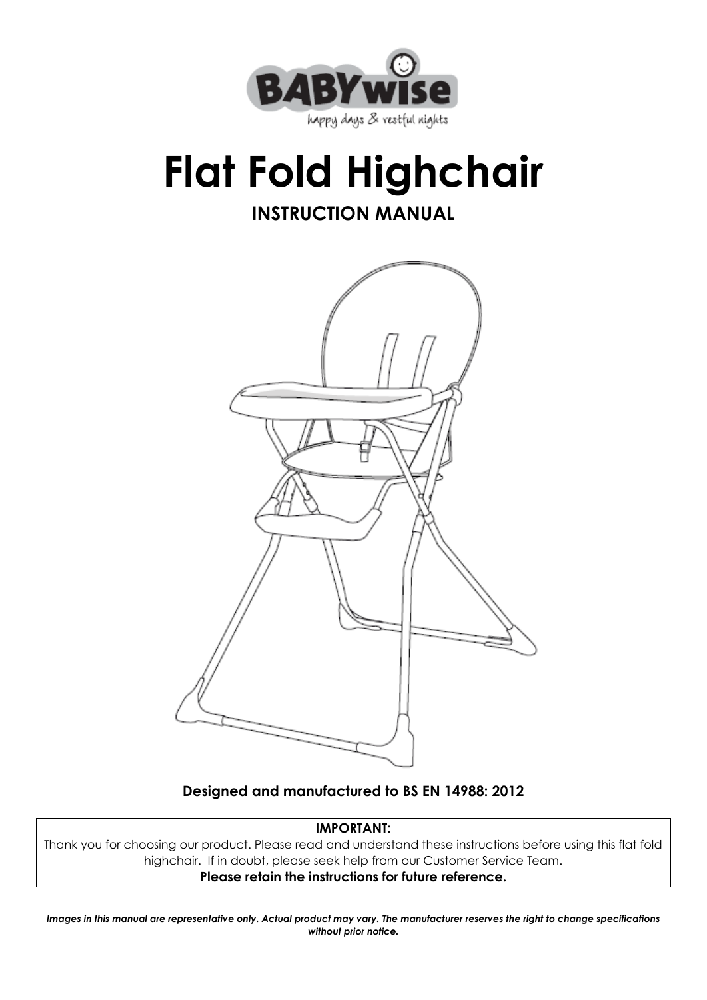

## **Flat Fold Highchair INSTRUCTION MANUAL**



**Designed and manufactured to BS EN 14988: 2012**

#### **IMPORTANT:**

Thank you for choosing our product. Please read and understand these instructions before using this flat fold highchair. If in doubt, please seek help from our Customer Service Team. **Please retain the instructions for future reference.**

*Images in this manual are representative only. Actual product may vary. The manufacturer reserves the right to change specifications without prior notice.*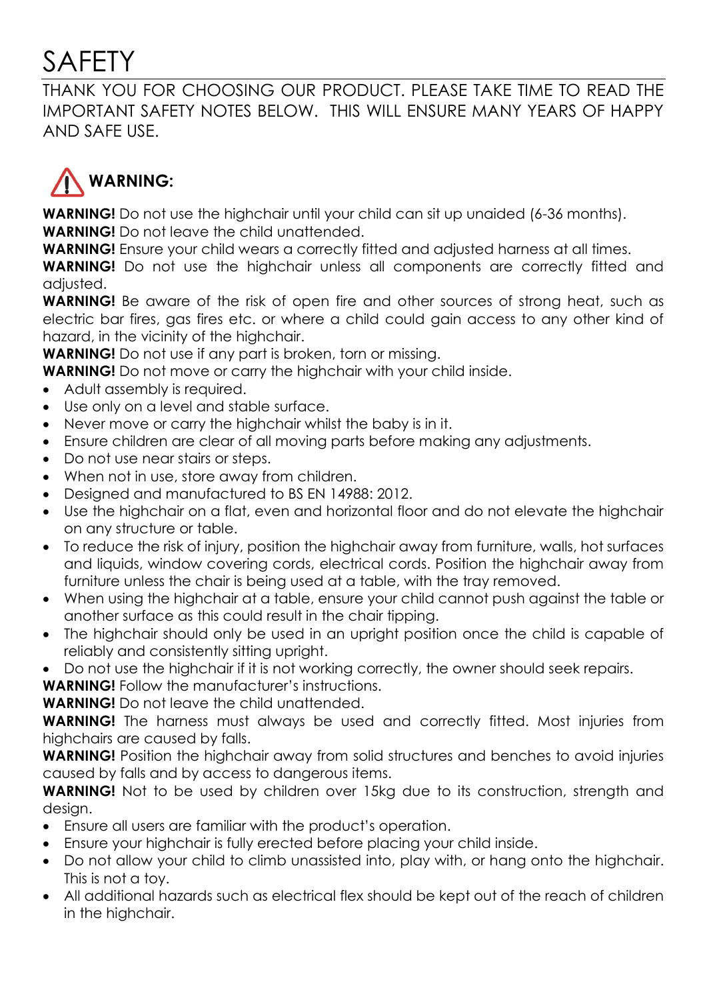#### SAFETY

THANK YOU FOR CHOOSING OUR PRODUCT. PLEASE TAKE TIME TO READ THE IMPORTANT SAFETY NOTES BELOW. THIS WILL ENSURE MANY YEARS OF HAPPY AND SAFE USE.



**WARNING!** Do not use the highchair until your child can sit up unaided (6-36 months). **WARNING!** Do not leave the child unattended.

**WARNING!** Ensure your child wears a correctly fitted and adjusted harness at all times.

**WARNING!** Do not use the highchair unless all components are correctly fitted and adjusted.

**WARNING!** Be aware of the risk of open fire and other sources of strong heat, such as electric bar fires, gas fires etc. or where a child could gain access to any other kind of hazard, in the vicinity of the highchair.

**WARNING!** Do not use if any part is broken, torn or missing.

**WARNING!** Do not move or carry the highchair with your child inside.

- Adult assembly is required.
- Use only on a level and stable surface.
- Never move or carry the highchair whilst the baby is in it.
- Ensure children are clear of all moving parts before making any adjustments.
- Do not use near stairs or steps.
- When not in use, store away from children.
- Designed and manufactured to BS EN 14988: 2012.
- Use the highchair on a flat, even and horizontal floor and do not elevate the highchair on any structure or table.
- To reduce the risk of injury, position the highchair away from furniture, walls, hot surfaces and liquids, window covering cords, electrical cords. Position the highchair away from furniture unless the chair is being used at a table, with the tray removed.
- When using the highchair at a table, ensure your child cannot push against the table or another surface as this could result in the chair tipping.
- The highchair should only be used in an upright position once the child is capable of reliably and consistently sitting upright.
- Do not use the highchair if it is not working correctly, the owner should seek repairs.

**WARNING!** Follow the manufacturer's instructions.

**WARNING!** Do not leave the child unattended.

**WARNING!** The harness must always be used and correctly fitted. Most injuries from highchairs are caused by falls.

**WARNING!** Position the highchair away from solid structures and benches to avoid injuries caused by falls and by access to dangerous items.

**WARNING!** Not to be used by children over 15kg due to its construction, strength and design.

- Ensure all users are familiar with the product's operation.
- Ensure your highchair is fully erected before placing your child inside.
- Do not allow your child to climb unassisted into, play with, or hang onto the highchair. This is not a toy.
- All additional hazards such as electrical flex should be kept out of the reach of children in the highchair.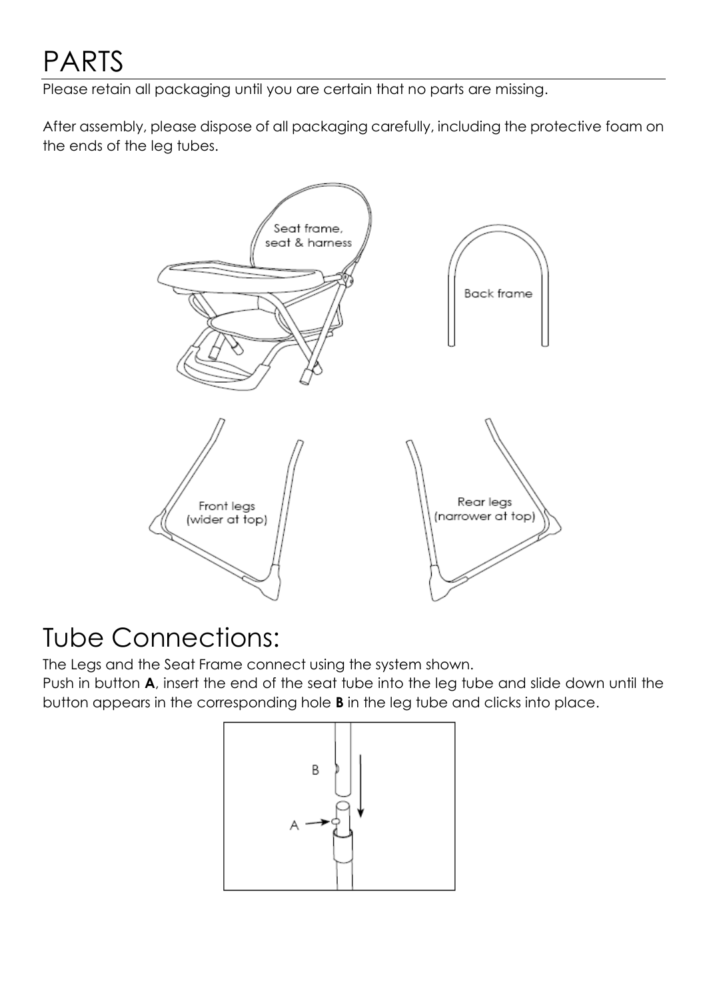Please retain all packaging until you are certain that no parts are missing.

After assembly, please dispose of all packaging carefully, including the protective foam on the ends of the leg tubes.



#### Tube Connections:

The Legs and the Seat Frame connect using the system shown.

Push in button **A**, insert the end of the seat tube into the leg tube and slide down until the button appears in the corresponding hole **B** in the leg tube and clicks into place.

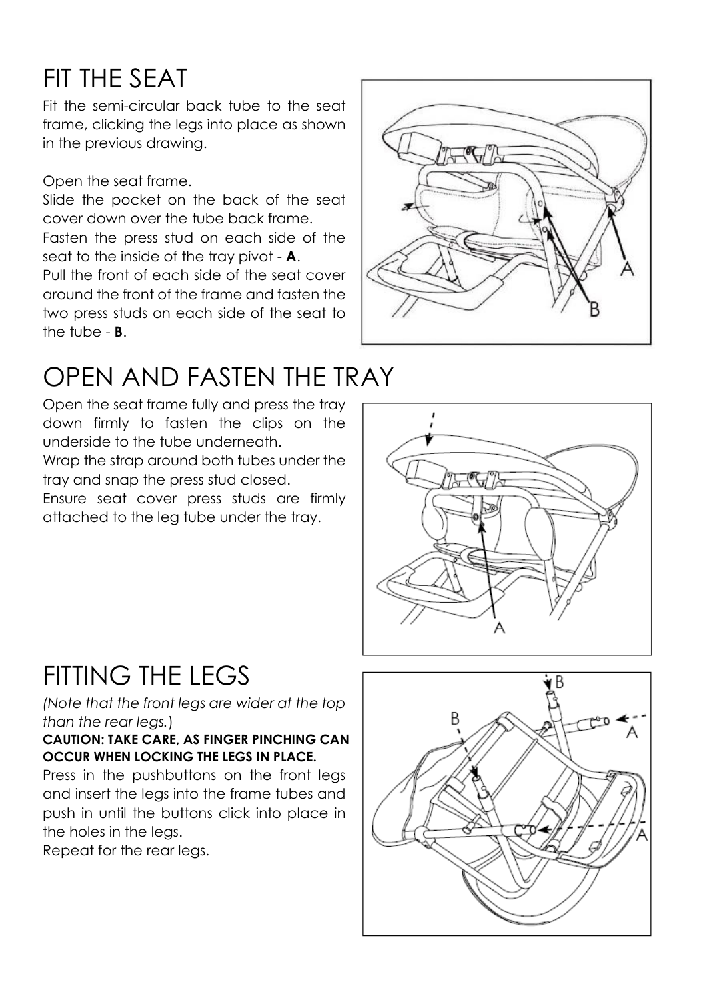#### FIT THE SEAT

Fit the semi-circular back tube to the seat frame, clicking the legs into place as shown in the previous drawing.

Open the seat frame.

Slide the pocket on the back of the seat cover down over the tube back frame.

Fasten the press stud on each side of the seat to the inside of the tray pivot - **A**.

Pull the front of each side of the seat cover around the front of the frame and fasten the two press studs on each side of the seat to the tube - **B**.



#### OPEN AND FASTEN THE TRAY

Open the seat frame fully and press the tray down firmly to fasten the clips on the underside to the tube underneath. Wrap the strap around both tubes under the tray and snap the press stud closed.

Ensure seat cover press studs are firmly attached to the leg tube under the tray.



#### FITTING THE LEGS

*(Note that the front legs are wider at the top than the rear legs.*)

**CAUTION: TAKE CARE, AS FINGER PINCHING CAN OCCUR WHEN LOCKING THE LEGS IN PLACE.**

Press in the pushbuttons on the front legs and insert the legs into the frame tubes and push in until the buttons click into place in the holes in the legs.

Repeat for the rear legs.

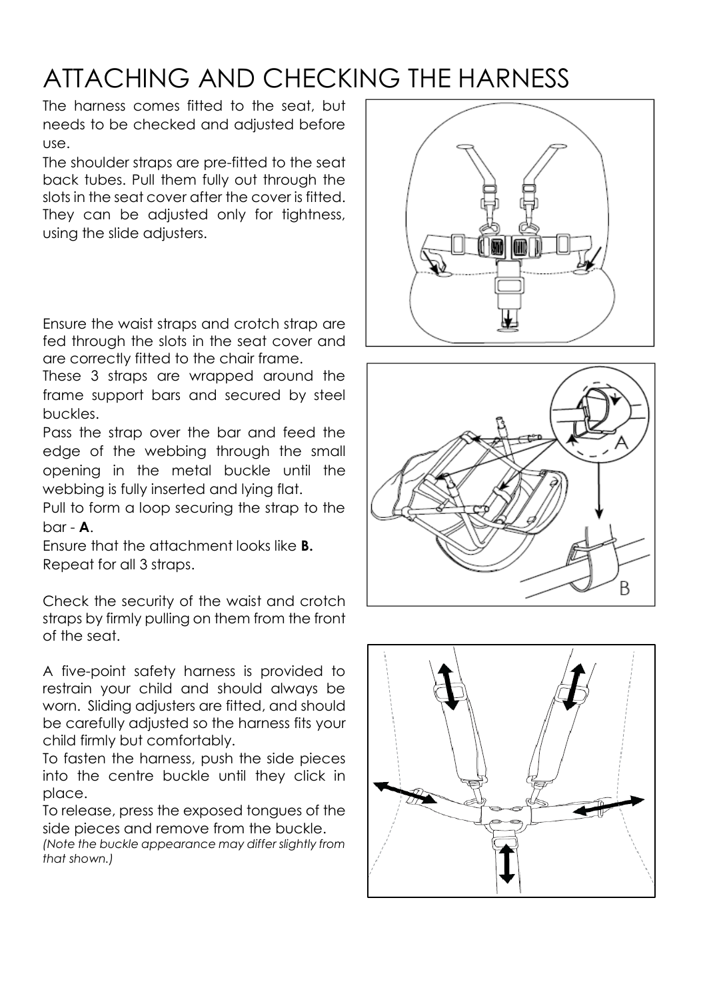#### ATTACHING AND CHECKING THE HARNESS

The harness comes fitted to the seat, but needs to be checked and adjusted before use.

The shoulder straps are pre-fitted to the seat back tubes. Pull them fully out through the slots in the seat cover after the cover is fitted. They can be adjusted only for tightness, using the slide adjusters.

Ensure the waist straps and crotch strap are fed through the slots in the seat cover and are correctly fitted to the chair frame.

These 3 straps are wrapped around the frame support bars and secured by steel buckles.

Pass the strap over the bar and feed the edge of the webbing through the small opening in the metal buckle until the webbing is fully inserted and lying flat.

Pull to form a loop securing the strap to the bar - **A**.

Ensure that the attachment looks like **B.** Repeat for all 3 straps.

Check the security of the waist and crotch straps by firmly pulling on them from the front of the seat.

A five-point safety harness is provided to restrain your child and should always be worn. Sliding adjusters are fitted, and should be carefully adjusted so the harness fits your child firmly but comfortably.

To fasten the harness, push the side pieces into the centre buckle until they click in place.

To release, press the exposed tongues of the side pieces and remove from the buckle.

*(Note the buckle appearance may differ slightly from that shown.)*





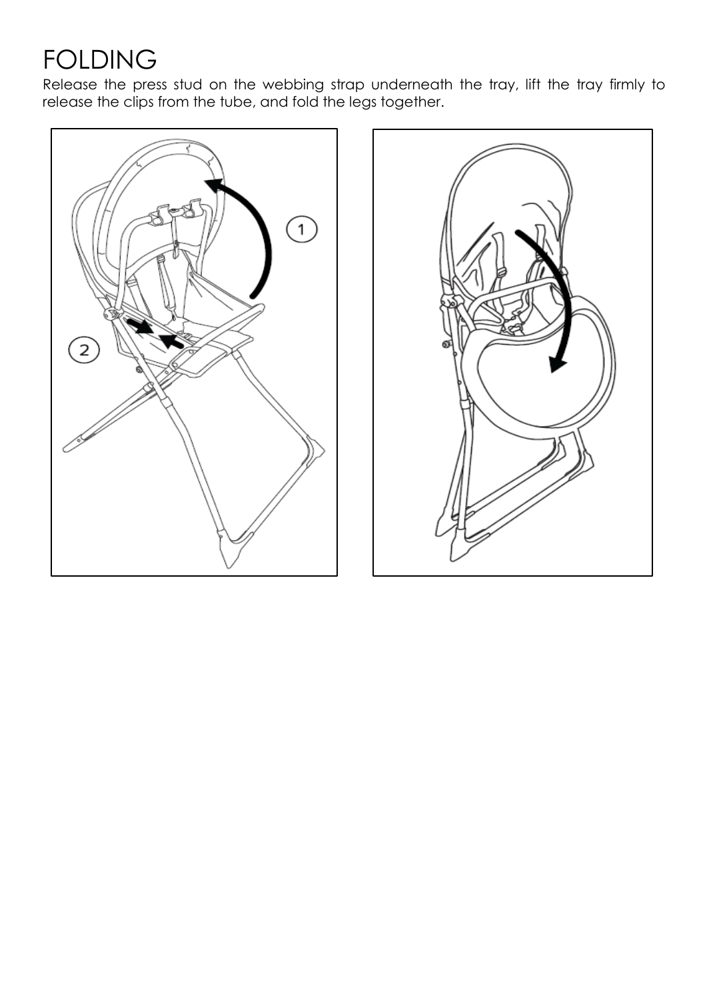#### FOLDING

Release the press stud on the webbing strap underneath the tray, lift the tray firmly to release the clips from the tube, and fold the legs together.